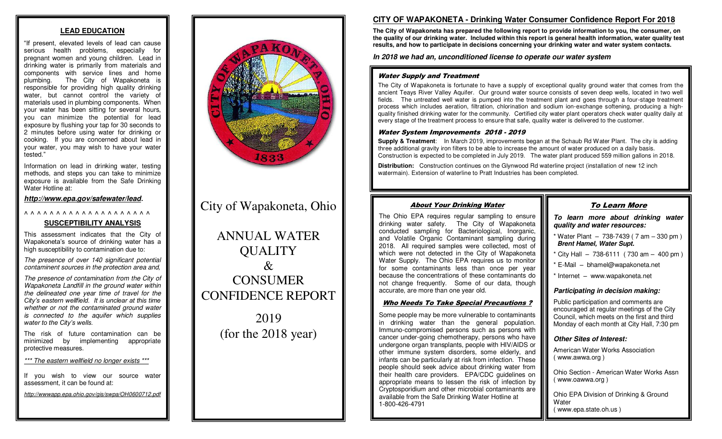## **LEAD EDUCATION**

"If present, elevated levels of lead can cause serious health problems, especially for pregnant women and young children. Lead in drinking water is primarily from materials and components with service lines and home plumbing. The City of Wapakoneta is responsible for providing high quality drinking water, but cannot control the variety of materials used in plumbing components. When your water has been sitting for several hours, you can minimize the potential for lead exposure by flushing your tap for 30 seconds to 2 minutes before using water for drinking or cooking. If you are concerned about lead in your water, you may wish to have your water tested."

Information on lead in drinking water, testing methods, and steps you can take to minimize exposure is available from the Safe Drinking Water Hotline at:

*<http://www.epa.gov/safewater/lead>.* 

#### ^ ^ ^ ^ ^ ^ ^ ^ ^ ^ ^ ^ ^ ^ ^ ^ ^ ^ ^ ^

## **SUSCEPTIBILITY ANALYSIS**

This assessment indicates that the City of Wapakoneta's source of drinking water has a high susceptibility to contamination due to:

*The presence of over 140 significant potential contaminent sources in the protection area and,* 

*The presence of contamination from the City of Wapakoneta Landfill in the ground water within the delineated one year time of travel for the City's eastern wellfield. It is unclear at this time whether or not the contaminated ground water is connected to the aquifer which supplies water to the City's wells.*

The risk of future contamination can be minimized by implementing appropriate protective measures.

*\*\*\* The eastern wellfield no longer exists \*\*\**

If you wish to view our source water assessment, it can be found at:

*http://wwwapp.epa.ohio.gov/gis/swpa/OH0600712.pdf*



# City of Wapakoneta, Ohio

ANNUAL WATER **OUALITY**  $\mathcal{R}_{\mathcal{L}}$ **CONSUMER** CONFIDENCE REPORT

> 2019 (for the 2018 year)

## **CITY OF WAPAKONETA - Drinking Water Consumer Confidence Report For 2018**

**The City of Wapakoneta has prepared the following report to provide information to you, the consumer, on the quality of our drinking water. Included within this report is general health information, water quality test results, and how to participate in decisions concerning your drinking water and water system contacts.**

*In 2018 we had an, unconditioned license to operate our water system* 

#### Water Supply and Treatment

The City of Wapakoneta is fortunate to have a supply of exceptional quality ground water that comes from the ancient Teays River Valley Aquifer. Our ground water source consists of seven deep wells, located in two well fields. The untreated well water is pumped into the treatment plant and goes through a four-stage treatment process which includes aeration, filtration, chlorination and sodium ion-exchange softening, producing a highquality finished drinking water for the community. Certified city water plant operators check water quality daily at every stage of the treatment process to ensure that safe, quality water is delivered to the customer.

#### Water System Improvements 2018 - 2019

**Supply & Treatment:** In March 2019, improvements began at the Schaub Rd Water Plant. The city is adding three additional gravity iron filters to be able to increase the amount of water produced on a daily basis. Construction is expected to be completed in July 2019. The water plant produced 559 million gallons in 2018.

**Distribution:** Construction continues on the Glynwood Rd waterline project (installation of new 12 inch watermain). Extension of waterline to Pratt Industries has been completed.

## About Your Drinking Water The Ohio EPA requires regular sampling to ensure

drinking water safety. The City of Wapakoneta conducted sampling for Bacteriological, Inorganic, and Volatile Organic Contaminant sampling during 2018. All required samples were collected, most of which were not detected in the City of Wapakoneta Water Supply. The Ohio EPA requires us to monitor for some contaminants less than once per year because the concentrations of these contaminants do not change frequently. Some of our data, though

Who Needs To Take Special Precautions ? Some people may be more vulnerable to contaminants in drinking water than the general population. Immuno-compromised persons such as persons with cancer under-going chemotherapy, persons who have undergone organ transplants, people with HIV/AIDS or other immune system disorders, some elderly, and infants can be particularly at risk from infection. These people should seek advice about drinking water from their health care providers. EPA/CDC guidelines on appropriate means to lessen the risk of infection by Cryptosporidium and other microbial contaminants are available from the Safe Drinking Water Hotline at

accurate, are more than one year old.

1-800-426-4791

## To Learn More *To learn more about drinking water quality and water resources:*

- $*$  Water Plant  $-738-7439$  (7 am  $-330$  pm) *Brent Hamel, Water Supt.*
- $\frac{1}{2}$  City Hall 738-6111 (730 am 400 pm)
- \* E-Mail bhamel@wapakoneta.net
- \* Internet www.wapakoneta.net

## *Participating in decision making:*

Public participation and comments are encouraged at regular meetings of the City Council, which meets on the first and third Monday of each month at City Hall, 7:30 pm

## *Other Sites of Interest:*

American Water Works Association ( www.awwa.org )

Ohio Section - American Water Works Assn ( www.oawwa.org )

Ohio EPA Division of Drinking & Ground **Water** ( www.epa.state.oh.us )